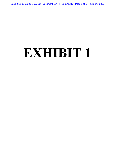Case 2:12-cv-08333-ODW-JC Document 184 Filed 06/13/13 Page 1 of 5 Page ID #:3356

## **EXHIBIT 1**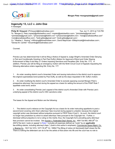Gmail - In**Genauy213,2:100V0.BB3BvODW-JC Document 184 FilentpS6/1a3/1L3ogRa6Ju/aa0fu50/?h<del>20</del>JGklBe#2335576&view...** 



**Morgan Pietz <morganpietz@gmail.com>**

**Ingenuity 13, LLC v. John Doe** 4 messages

**Philip W. Vineyard** <PVineyard@klinedinstlaw.com> Tue, Jun 11, 2013 at 7:03 PM To: "Morgan E. Pietz (mpietz@pietzlawfirm.com)" <mpietz@pietzlawfirm.com>, "johnlsteele@gmail.com" <johnlsteele@gmail.com>, "prhansmeier@thefirm.mn" <prhansmeier@thefirm.mn>, "nick@ranallolawoffice.com" <nick@ranallolawoffice.com>, "brett.gibbs@gmail.com" <brett.gibbs@gmail.com> Cc: "Heather L. Rosing" <HRosing@klinedinstlaw.com>, David Majchrzak <DMajchrzak@klinedinstlaw.com>, "Denise M. Carrillo" <DCarrillo@klinedinstlaw.com>

Counsel,

Prenda Law has determined that it will be filing a Notice of Appeal to Judge Wright's Amended Order Denying in Part and Conditionally Granting in Part Paul Duffy's Motion for Approval of Bond and Order Staying Enforcement of May 6 and May 21 Orders Imposing Sanctions and Penalties (Dkt. Entry No. 177). In addition, Prenda Law will be filing an emergency motion with the Ninth Circuit Court of Appeals requesting the following alternative orders regarding Dkt. Entry No. 177:

1. An order vacating district court's Amended Order and issuing instructions to the district court to approve the original supersedeas bond posted by Paul Duffy, as well as the stays requested in Mr. Duffy's motion;

2. An order modifying the district court's Amended Order to exclude opposing counsel Morgan Pietz's prospective attorneys' fee incurred during the appeal as a basis for setting the amount of the FRAP Rule 7 appellate costs bond; and/or

3. An order consolidating Prenda Law's appeal of the district court's Amended Order with Prenda Law's underlying appeal of the district court's OSC sanctions order.

The bases for the Appeal and Motion are the following:

1. The district court's reliance on the Copyright Act as a basis for its order instructing appellants to post a second bond covering John Doe's attorneys' fees incurred during appeal is unlawful, because the original copyright action was dismissed without prejudice pursuant to FRCP Rule 41(a)(1). As such, the district court no longer has jurisdiction by which to award attorneys' fees pursuant to the Copyright Act. Further, a dismissal without prejudice is not a ruling on the merits; thus, the Copyright Act's prevailing party attorneys' fees provision cannot be invoked. *See Azizian v. Federated Dep't Stores, Inc., 499 F.3d 950, 958 (9<sup>th</sup> Cir.* 2007)("the term 'costs on appeal' in Rule 7 includes all expenses defined as "costs" by an *applicable* fee-shifting statute, including attorney's fees.") (bold is this author's emphasis); Commercial Space Mgmt. Co. v. Boeing Co., 193 F.3d 1074, 1077-78 (9<sup>th</sup> Cir. 1999)("The [filing of notice (of dismissal)] itself closes the file. There is nothing the defendant can do to fan the ashes of that action into life and the court has no role to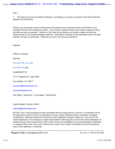play.").

2. The district court has exceeded its authority in permitting a non-party to execute on the bonds while the appeals are still pending.

Prenda Law will request a stay of enforcement of the district court's Amended Order as the Ninth Circuit considers Prenda Law's emergency motion. If you intend to oppose Prenda Law's motion, please so inform this office as soon as possible. I shall be in San Jose all day tomorrow on another matter and will have limited access to my computer facilities; therefore, I shall spend Thursday on the applicable motion and shall forward it as soon as practicable. Please let us know if you have any questions.

Regards,

Philip W. Vineyard

Attorney

213.406.1100, ext. 3353

213.406.1101 (fax)

KLINEDINST PC

777 S. Figueroa St., Suite 2800

Los Angeles, CA 90017

pvineyard@klinedinstlaw.com

www.klinedinstlaw.com

San Diego \* Santa Ana \* Los Angeles \* Sacramento

Legal Assistant: Denise Carrillo

## dcarrillo@klinedinstlaw.com

NOTICE: This e-mail (including any files transmitted with it) is being sent by a law firm. It is intended only for the individual or entity to which it is addressed and may contain information that is proprietary, privileged, confidential or otherwise exempt from disclosure under applicable Federal or State Law. If you are not the named addressee or the employee or agent responsible for delivering this e-mail to the named addressee, be advised that you have received this e-mail in error and you are prohibited from any dissemination, distribution or copying of this e-mail. If you have received this e-mail in error, please immediately contact the sender by reply e-mail, telephone, or facsimile.

**Morgan E. Pietz <mpietz@pietzlawfirm.com> Tue, Jun 11, 2013 at 8:14 PM**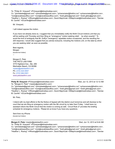To: "Philip W. Vineyard" <PVineyard@klinedinstlaw.com>

Cc: "johnlsteele@gmail.com" <johnlsteele@gmail.com>, "prhansmeier@thefirm.mn" <prhansmeier@thefirm.mn>, "nick@ranallolawoffice.com" <nick@ranallolawoffice.com>, "brett.gibbs@gmail.com" <brett.gibbs@gmail.com>, "Heather L. Rosing" <HRosing@klinedinstlaw.com>, David Majchrzak <DMajchrzak@klinedinstlaw.com>, "Denise M. Carrillo" <DCarrillo@klinedinstlaw.com>

Mr. Vineyard,

I will indeed oppose the motion.

If you have not already done so, I suggest that you immediately notify the Ninth Circuit motions unit that you will be waiting until Thursday and then filing an "emergency" motion seeking relief. . .by when exactly? To avoid the kind of ambiguity that Mr. Duffy's "emergency" appellate motion occasioned, and the resulting fire drill response, I would also suggest that you advise everyone, including the motions unit, on the date by which you are seeking relief, as soon as possible.

Best regards, Morgan [Quoted text hidden] --

Morgan E. Pietz THE PIETZ LAW FIRM 3770 Highland Ave., Ste. 206 Manhattan Beach, CA 90266 mpietz@pietzlawfirm.com Ph: (310) 424-5557 Fx: (310) 546-5301 www.pietzlawfirm.com

**Philip W. Vineyard** <PVineyard@klinedinstlaw.com> Wed, Jun 12, 2013 at 12:12 AM To: "Morgan E. Pietz" <mpietz@pietzlawfirm.com>

Cc: "johnlsteele@gmail.com" <johnlsteele@gmail.com>, "prhansmeier@thefirm.mn" <prhansmeier@thefirm.mn>, "nick@ranallolawoffice.com" <nick@ranallolawoffice.com>, "brett.gibbs@gmail.com" <brett.gibbs@gmail.com>, "Heather L. Rosing" <HRosing@klinedinstlaw.com>, David Majchrzak <DMajchrzak@klinedinstlaw.com>, "Denise M. Carrillo" <DCarrillo@klinedinstlaw.com>

Mr. Pietz,

I intend with my best efforts to file the Notice of Appeal with the district court tomorrow and will disclose to the court that we are filing an emergency motion with the 9th circuit by no later than Friday. I shall have my assistant inform the Ninth Circuit that the motion is coming as well. Circuit Rule 27 provides the briefing schedule for emergency motions. Please let us know if you have any questions.

Sent from my iPhone [Quoted text hidden]

## **Morgan E. Pietz <mpietz@pietzlawfirm.com> Wed, Jun 12, 2013 at 9:44 AM**

To: "Philip W. Vineyard" <PVineyard@klinedinstlaw.com>

Cc: "johnlsteele@gmail.com" <johnlsteele@gmail.com>, "prhansmeier@thefirm.mn" <prhansmeier@thefirm.mn>, "nick@ranallolawoffice.com" <nick@ranallolawoffice.com>, "brett.gibbs@gmail.com" <brett.gibbs@gmail.com>, "Heather L. Rosing" <HRosing@klinedinstlaw.com>, David Majchrzak <DMajchrzak@klinedinstlaw.com>, "Denise